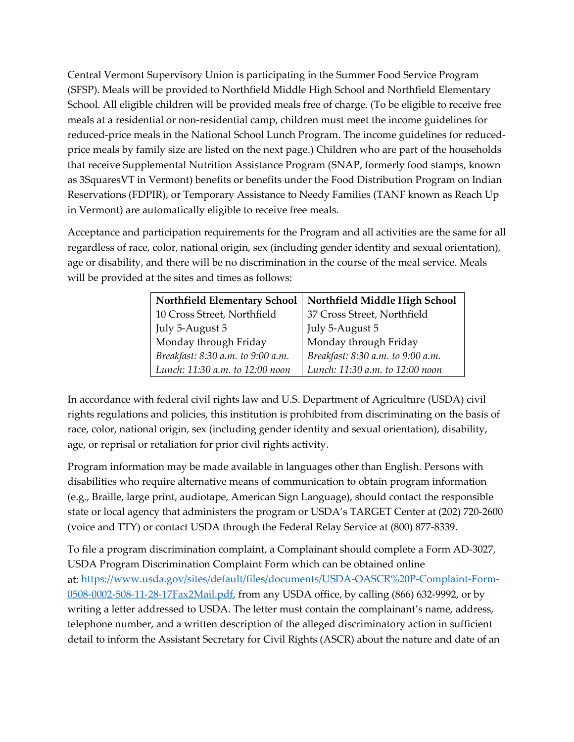Central Vermont Supervisory Union is participating in the Summer Food Service Program (SFSP). Meals will be provided to Northfield Middle High School and Northfield Elementary School*.* All eligible children will be provided meals free of charge. (To be eligible to receive free meals at a residential or non-residential camp, children must meet the income guidelines for reduced-price meals in the National School Lunch Program. The income guidelines for reducedprice meals by family size are listed on the next page.) Children who are part of the households that receive Supplemental Nutrition Assistance Program (SNAP, formerly food stamps, known as 3SquaresVT in Vermont) benefits or benefits under the Food Distribution Program on Indian Reservations (FDPIR), or Temporary Assistance to Needy Families (TANF known as Reach Up in Vermont) are automatically eligible to receive free meals.

Acceptance and participation requirements for the Program and all activities are the same for all regardless of race, color, national origin, sex (including gender identity and sexual orientation), age or disability, and there will be no discrimination in the course of the meal service. Meals will be provided at the sites and times as follows:

| <b>Northfield Elementary School</b> | Northfield Middle High School     |  |  |
|-------------------------------------|-----------------------------------|--|--|
| 10 Cross Street, Northfield         | 37 Cross Street, Northfield       |  |  |
| July 5-August 5                     | July 5-August 5                   |  |  |
| Monday through Friday               | Monday through Friday             |  |  |
| Breakfast: 8:30 a.m. to 9:00 a.m.   | Breakfast: 8:30 a.m. to 9:00 a.m. |  |  |
| Lunch: 11:30 a.m. to 12:00 noon     | Lunch: 11:30 a.m. to 12:00 noon   |  |  |

In accordance with federal civil rights law and U.S. Department of Agriculture (USDA) civil rights regulations and policies, this institution is prohibited from discriminating on the basis of race, color, national origin, sex (including gender identity and sexual orientation), disability, age, or reprisal or retaliation for prior civil rights activity.

Program information may be made available in languages other than English. Persons with disabilities who require alternative means of communication to obtain program information (e.g., Braille, large print, audiotape, American Sign Language), should contact the responsible state or local agency that administers the program or USDA's TARGET Center at (202) 720-2600 (voice and TTY) or contact USDA through the Federal Relay Service at (800) 877-8339.

To file a program discrimination complaint, a Complainant should complete a Form AD-3027, USDA Program Discrimination Complaint Form which can be obtained online at: [https://www.usda.gov/sites/default/files/documents/USDA-OASCR%20P-Complaint-Form-](https://www.usda.gov/sites/default/files/documents/USDA-OASCR%20P-Complaint-Form-0508-0002-508-11-28-17Fax2Mail.pdf)[0508-0002-508-11-28-17Fax2Mail.pdf,](https://www.usda.gov/sites/default/files/documents/USDA-OASCR%20P-Complaint-Form-0508-0002-508-11-28-17Fax2Mail.pdf) from any USDA office, by calling (866) 632-9992, or by writing a letter addressed to USDA. The letter must contain the complainant's name, address, telephone number, and a written description of the alleged discriminatory action in sufficient detail to inform the Assistant Secretary for Civil Rights (ASCR) about the nature and date of an